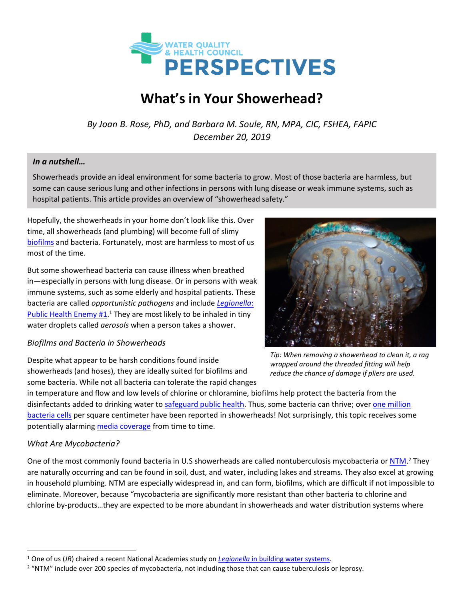

# **What's in Your Showerhead?**

*By Joan B. Rose, PhD, and Barbara M. Soule, RN, MPA, CIC, FSHEA, FAPIC December 20, 2019*

#### *In a nutshell…*

Showerheads provide an ideal environment for some bacteria to grow. Most of those bacteria are harmless, but some can cause serious lung and other infections in persons with lung disease or weak immune systems, such as hospital patients. This article provides an overview of "showerhead safety."

Hopefully, the showerheads in your home don't look like this. Over time, all showerheads (and plumbing) will become full of slimy [biofilms](https://waterandhealth.org/safe-drinking-water/drinking-water/biofilms-good-bad-2/) and bacteria. Fortunately, most are harmless to most of us most of the time.

But some showerhead bacteria can cause illness when breathed in—especially in persons with lung disease. Or in persons with weak immune systems, such as some elderly and hospital patients. These bacteria are called *opportunistic pathogens* and include *[Legionella](https://waterandhealth.org/safe-drinking-water/addressing-legionella-public-health-enemy-1-water-systems/)*: [Public Health Enemy #1.](https://waterandhealth.org/safe-drinking-water/addressing-legionella-public-health-enemy-1-water-systems/)<sup>1</sup> They are most likely to be inhaled in tiny water droplets called *aerosols* when a person takes a shower.

#### *Biofilms and Bacteria in Showerheads*

Despite what appear to be harsh conditions found inside showerheads (and hoses), they are ideally suited for biofilms and some bacteria. While not all bacteria can tolerate the rapid changes

*Tip: When removing a showerhead to clean it, a rag wrapped around the threaded fitting will help reduce the chance of damage if pliers are used.*

in temperature and flow and low levels of chlorine or chloramine, biofilms help protect the bacteria from the disinfectants added to drinking water to [safeguard public health.](https://waterandhealth.org/healthy-pools/chlorine-residual-public-health-safeguard/) Thus, some bacteria can thrive; over [one million](https://mbio.asm.org/content/9/5/e01614-18)  [bacteria cells](https://mbio.asm.org/content/9/5/e01614-18) per square centimeter have been reported in showerheads! Not surprisingly, this topic receives some potentially alarming [media coverage](http://www.nydailynews.com/life-style/health/bacteria-dirty-shower-heads-sickness-weak-immune-systems-study-article-1.405194) from time to time.

#### *What Are Mycobacteria?*

One of the most commonly found bacteria in U.S showerheads are called nontuberculosis mycobacteria o[r NTM.](https://www.cdc.gov/hai/organisms/nontuberculous-mycobacteria.html)<sup>2</sup> They are naturally occurring and can be found in soil, dust, and water, including lakes and streams. They also excel at growing in household plumbing. NTM are especially widespread in, and can form, biofilms, which are difficult if not impossible to eliminate. Moreover, because "mycobacteria are significantly more resistant than other bacteria to chlorine and chlorine by-products…they are expected to be more abundant in showerheads and water distribution systems where

<sup>1</sup> One of us (*JR*) chaired a recent National Academies study on *Legionella* [in building water systems.](https://waterandhealth.org/safe-drinking-water/drinking-water-outbreaks/update-legionella-bacteria-management/)

<sup>&</sup>lt;sup>2</sup> "NTM" include over 200 species of mycobacteria, not including those that can cause tuberculosis or leprosy.